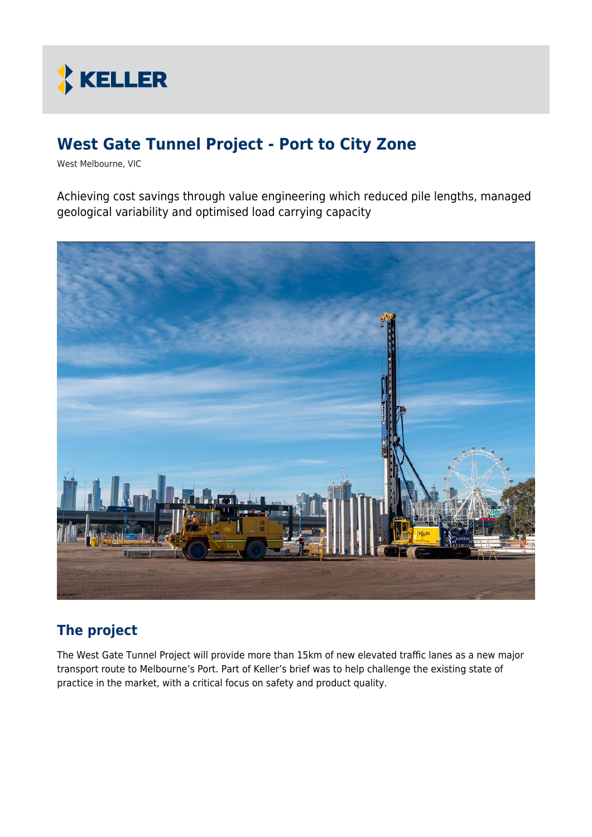

# **West Gate Tunnel Project - Port to City Zone**

West Melbourne, VIC

Achieving cost savings through value engineering which reduced pile lengths, managed geological variability and optimised load carrying capacity



## **The project**

The West Gate Tunnel Project will provide more than 15km of new elevated traffic lanes as a new major transport route to Melbourne's Port. Part of Keller's brief was to help challenge the existing state of practice in the market, with a critical focus on safety and product quality.